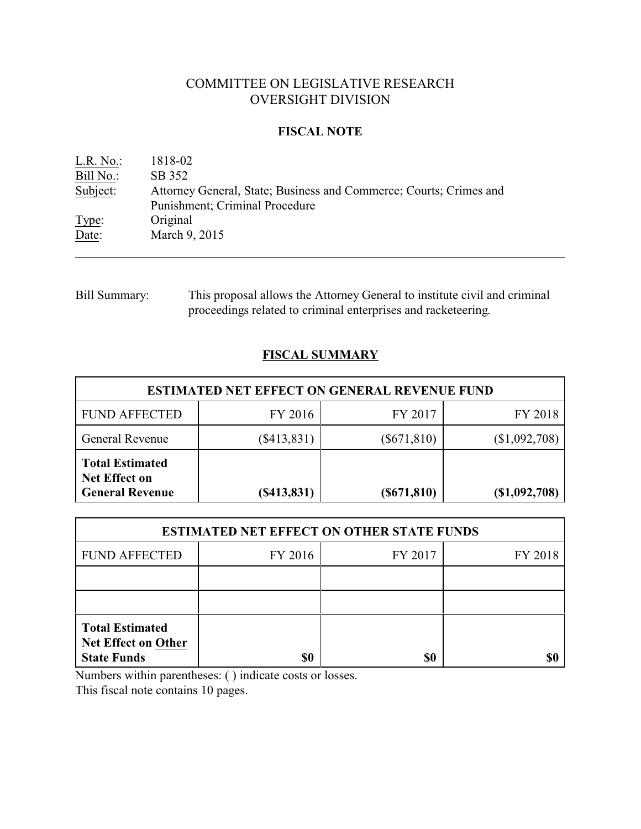# COMMITTEE ON LEGISLATIVE RESEARCH OVERSIGHT DIVISION

## **FISCAL NOTE**

| L.R. No.  | 1818-02                                                            |
|-----------|--------------------------------------------------------------------|
| Bill No.: | SB 352                                                             |
| Subject:  | Attorney General, State; Business and Commerce; Courts; Crimes and |
|           | Punishment; Criminal Procedure                                     |
| Type:     | Original                                                           |
| Date:     | March 9, 2015                                                      |

Bill Summary: This proposal allows the Attorney General to institute civil and criminal proceedings related to criminal enterprises and racketeering.

## **FISCAL SUMMARY**

| <b>ESTIMATED NET EFFECT ON GENERAL REVENUE FUND</b>                      |               |                |                 |  |  |  |
|--------------------------------------------------------------------------|---------------|----------------|-----------------|--|--|--|
| <b>FUND AFFECTED</b>                                                     | FY 2016       | FY 2017        | FY 2018         |  |  |  |
| <b>General Revenue</b>                                                   | $(\$413,831)$ | $(\$671,810)$  | (\$1,092,708)   |  |  |  |
| <b>Total Estimated</b><br><b>Net Effect on</b><br><b>General Revenue</b> | (S413, 831)   | $($ \$671,810) | $(\$1,092,708)$ |  |  |  |

| <b>ESTIMATED NET EFFECT ON OTHER STATE FUNDS</b>                           |         |         |         |  |  |  |
|----------------------------------------------------------------------------|---------|---------|---------|--|--|--|
| <b>FUND AFFECTED</b>                                                       | FY 2016 | FY 2017 | FY 2018 |  |  |  |
|                                                                            |         |         |         |  |  |  |
|                                                                            |         |         |         |  |  |  |
| <b>Total Estimated</b><br><b>Net Effect on Other</b><br><b>State Funds</b> | \$0     | \$0     |         |  |  |  |

Numbers within parentheses: ( ) indicate costs or losses.

This fiscal note contains 10 pages.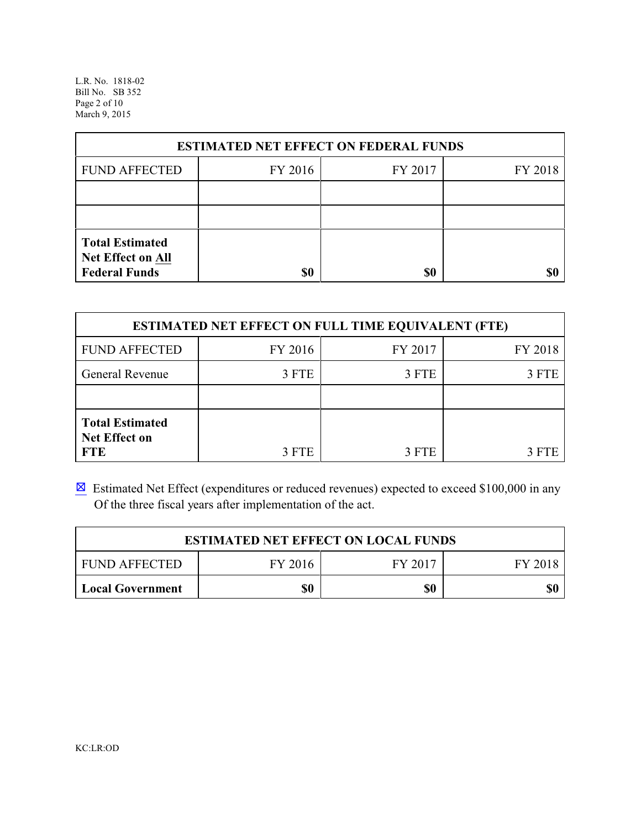L.R. No. 1818-02 Bill No. SB 352 Page 2 of 10 March 9, 2015

| <b>ESTIMATED NET EFFECT ON FEDERAL FUNDS</b>                        |         |         |         |  |  |  |
|---------------------------------------------------------------------|---------|---------|---------|--|--|--|
| <b>FUND AFFECTED</b>                                                | FY 2016 | FY 2017 | FY 2018 |  |  |  |
|                                                                     |         |         |         |  |  |  |
|                                                                     |         |         |         |  |  |  |
| <b>Total Estimated</b><br>Net Effect on All<br><b>Federal Funds</b> | \$0     | \$0     | \$ſ     |  |  |  |

| <b>ESTIMATED NET EFFECT ON FULL TIME EQUIVALENT (FTE)</b>    |         |         |         |  |  |  |
|--------------------------------------------------------------|---------|---------|---------|--|--|--|
| <b>FUND AFFECTED</b>                                         | FY 2016 | FY 2017 | FY 2018 |  |  |  |
| General Revenue                                              | 3 FTE   | 3 FTE   | 3 FTE   |  |  |  |
|                                                              |         |         |         |  |  |  |
| <b>Total Estimated</b><br><b>Net Effect on</b><br><b>FTE</b> | 3 FTE   | 3 FTE   | 3 FTE   |  |  |  |

 $\boxtimes$  Estimated Net Effect (expenditures or reduced revenues) expected to exceed \$100,000 in any Of the three fiscal years after implementation of the act.

| <b>ESTIMATED NET EFFECT ON LOCAL FUNDS</b>            |  |  |  |  |  |  |
|-------------------------------------------------------|--|--|--|--|--|--|
| FY 2016<br>FY 2017<br><b>FUND AFFECTED</b><br>FY 2018 |  |  |  |  |  |  |
| \$0<br>\$0<br>\$0<br><b>Local Government</b>          |  |  |  |  |  |  |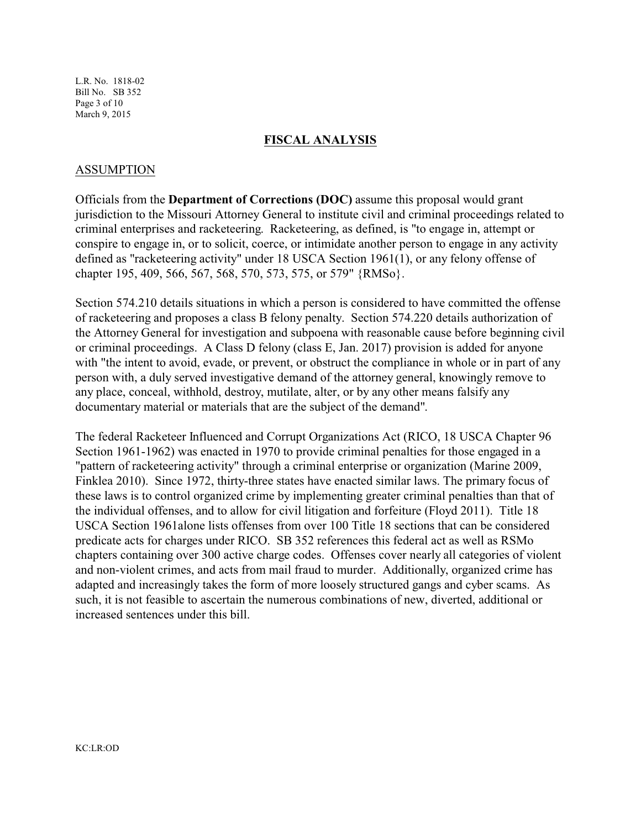L.R. No. 1818-02 Bill No. SB 352 Page 3 of 10 March 9, 2015

### **FISCAL ANALYSIS**

## ASSUMPTION

Officials from the **Department of Corrections (DOC)** assume this proposal would grant jurisdiction to the Missouri Attorney General to institute civil and criminal proceedings related to criminal enterprises and racketeering. Racketeering, as defined, is "to engage in, attempt or conspire to engage in, or to solicit, coerce, or intimidate another person to engage in any activity defined as "racketeering activity" under 18 USCA Section 1961(1), or any felony offense of chapter 195, 409, 566, 567, 568, 570, 573, 575, or 579" {RMSo}.

Section 574.210 details situations in which a person is considered to have committed the offense of racketeering and proposes a class B felony penalty. Section 574.220 details authorization of the Attorney General for investigation and subpoena with reasonable cause before beginning civil or criminal proceedings. A Class D felony (class E, Jan. 2017) provision is added for anyone with "the intent to avoid, evade, or prevent, or obstruct the compliance in whole or in part of any person with, a duly served investigative demand of the attorney general, knowingly remove to any place, conceal, withhold, destroy, mutilate, alter, or by any other means falsify any documentary material or materials that are the subject of the demand".

The federal Racketeer Influenced and Corrupt Organizations Act (RICO, 18 USCA Chapter 96 Section 1961-1962) was enacted in 1970 to provide criminal penalties for those engaged in a "pattern of racketeering activity" through a criminal enterprise or organization (Marine 2009, Finklea 2010). Since 1972, thirty-three states have enacted similar laws. The primary focus of these laws is to control organized crime by implementing greater criminal penalties than that of the individual offenses, and to allow for civil litigation and forfeiture (Floyd 2011). Title 18 USCA Section 1961alone lists offenses from over 100 Title 18 sections that can be considered predicate acts for charges under RICO. SB 352 references this federal act as well as RSMo chapters containing over 300 active charge codes. Offenses cover nearly all categories of violent and non-violent crimes, and acts from mail fraud to murder. Additionally, organized crime has adapted and increasingly takes the form of more loosely structured gangs and cyber scams. As such, it is not feasible to ascertain the numerous combinations of new, diverted, additional or increased sentences under this bill.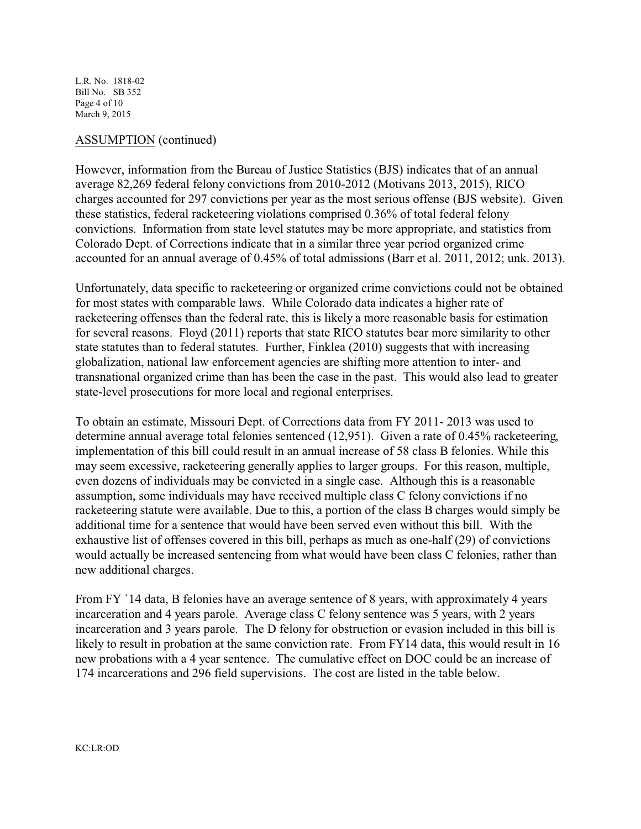L.R. No. 1818-02 Bill No. SB 352 Page 4 of 10 March 9, 2015

## ASSUMPTION (continued)

However, information from the Bureau of Justice Statistics (BJS) indicates that of an annual average 82,269 federal felony convictions from 2010-2012 (Motivans 2013, 2015), RICO charges accounted for 297 convictions per year as the most serious offense (BJS website). Given these statistics, federal racketeering violations comprised 0.36% of total federal felony convictions. Information from state level statutes may be more appropriate, and statistics from Colorado Dept. of Corrections indicate that in a similar three year period organized crime accounted for an annual average of 0.45% of total admissions (Barr et al. 2011, 2012; unk. 2013).

Unfortunately, data specific to racketeering or organized crime convictions could not be obtained for most states with comparable laws. While Colorado data indicates a higher rate of racketeering offenses than the federal rate, this is likely a more reasonable basis for estimation for several reasons. Floyd (2011) reports that state RICO statutes bear more similarity to other state statutes than to federal statutes. Further, Finklea (2010) suggests that with increasing globalization, national law enforcement agencies are shifting more attention to inter- and transnational organized crime than has been the case in the past. This would also lead to greater state-level prosecutions for more local and regional enterprises.

To obtain an estimate, Missouri Dept. of Corrections data from FY 2011- 2013 was used to determine annual average total felonies sentenced (12,951). Given a rate of 0.45% racketeering, implementation of this bill could result in an annual increase of 58 class B felonies. While this may seem excessive, racketeering generally applies to larger groups. For this reason, multiple, even dozens of individuals may be convicted in a single case. Although this is a reasonable assumption, some individuals may have received multiple class C felony convictions if no racketeering statute were available. Due to this, a portion of the class B charges would simply be additional time for a sentence that would have been served even without this bill. With the exhaustive list of offenses covered in this bill, perhaps as much as one-half (29) of convictions would actually be increased sentencing from what would have been class C felonies, rather than new additional charges.

From FY `14 data, B felonies have an average sentence of 8 years, with approximately 4 years incarceration and 4 years parole. Average class C felony sentence was 5 years, with 2 years incarceration and 3 years parole. The D felony for obstruction or evasion included in this bill is likely to result in probation at the same conviction rate. From FY14 data, this would result in 16 new probations with a 4 year sentence. The cumulative effect on DOC could be an increase of 174 incarcerations and 296 field supervisions. The cost are listed in the table below.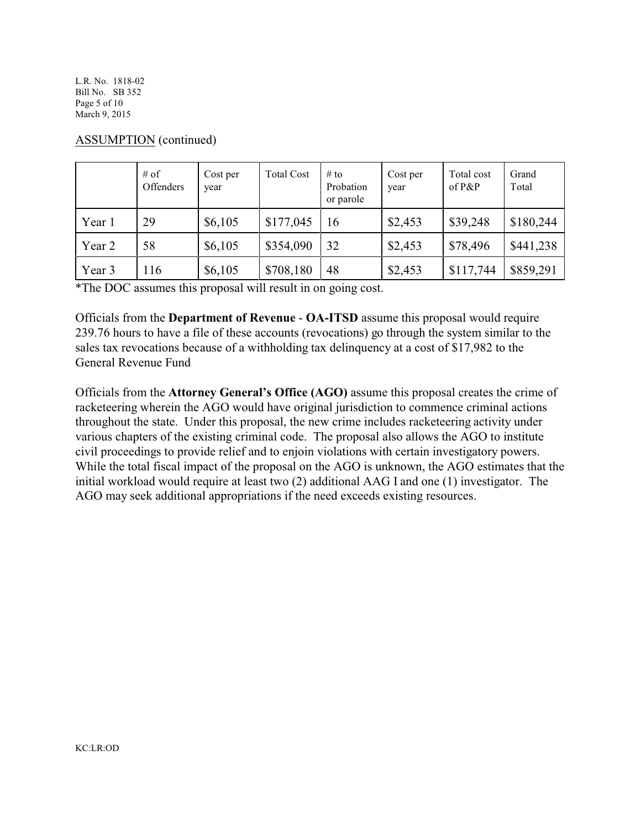L.R. No. 1818-02 Bill No. SB 352 Page 5 of 10 March 9, 2015

|        | $#$ of<br><b>Offenders</b> | Cost per<br>year | <b>Total Cost</b> | $#$ to<br>Probation<br>or parole | Cost per<br>year | Total cost<br>of $P\&P$ | Grand<br>Total |
|--------|----------------------------|------------------|-------------------|----------------------------------|------------------|-------------------------|----------------|
| Year 1 | 29                         | \$6,105          | \$177,045         | 16                               | \$2,453          | \$39,248                | \$180,244      |
| Year 2 | 58                         | \$6,105          | \$354,090         | 32                               | \$2,453          | \$78,496                | \$441,238      |
| Year 3 | 116                        | \$6,105          | \$708,180         | 48                               | \$2,453          | \$117,744               | \$859,291      |

## ASSUMPTION (continued)

\*The DOC assumes this proposal will result in on going cost.

Officials from the **Department of Revenue** - **OA-ITSD** assume this proposal would require 239.76 hours to have a file of these accounts (revocations) go through the system similar to the sales tax revocations because of a withholding tax delinquency at a cost of \$17,982 to the General Revenue Fund

Officials from the **Attorney General's Office (AGO)** assume this proposal creates the crime of racketeering wherein the AGO would have original jurisdiction to commence criminal actions throughout the state. Under this proposal, the new crime includes racketeering activity under various chapters of the existing criminal code. The proposal also allows the AGO to institute civil proceedings to provide relief and to enjoin violations with certain investigatory powers. While the total fiscal impact of the proposal on the AGO is unknown, the AGO estimates that the initial workload would require at least two (2) additional AAG I and one (1) investigator. The AGO may seek additional appropriations if the need exceeds existing resources.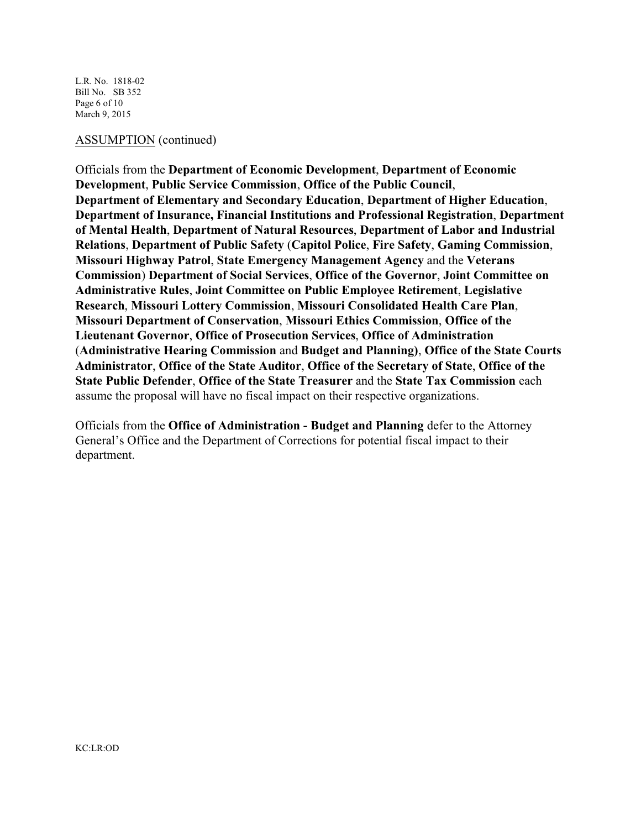L.R. No. 1818-02 Bill No. SB 352 Page 6 of 10 March 9, 2015

#### ASSUMPTION (continued)

Officials from the **Department of Economic Development**, **Department of Economic Development**, **Public Service Commission**, **Office of the Public Council**, **Department of Elementary and Secondary Education**, **Department of Higher Education**, **Department of Insurance, Financial Institutions and Professional Registration**, **Department of Mental Health**, **Department of Natural Resources**, **Department of Labor and Industrial Relations**, **Department of Public Safety** (**Capitol Police**, **Fire Safety**, **Gaming Commission**, **Missouri Highway Patrol**, **State Emergency Management Agency** and the **Veterans Commission**) **Department of Social Services**, **Office of the Governor**, **Joint Committee on Administrative Rules**, **Joint Committee on Public Employee Retirement**, **Legislative Research**, **Missouri Lottery Commission**, **Missouri Consolidated Health Care Plan**, **Missouri Department of Conservation**, **Missouri Ethics Commission**, **Office of the Lieutenant Governor**, **Office of Prosecution Services**, **Office of Administration** (**Administrative Hearing Commission** and **Budget and Planning)**, **Office of the State Courts Administrator**, **Office of the State Auditor**, **Office of the Secretary of State**, **Office of the State Public Defender**, **Office of the State Treasurer** and the **State Tax Commission** each assume the proposal will have no fiscal impact on their respective organizations.

Officials from the **Office of Administration - Budget and Planning** defer to the Attorney General's Office and the Department of Corrections for potential fiscal impact to their department.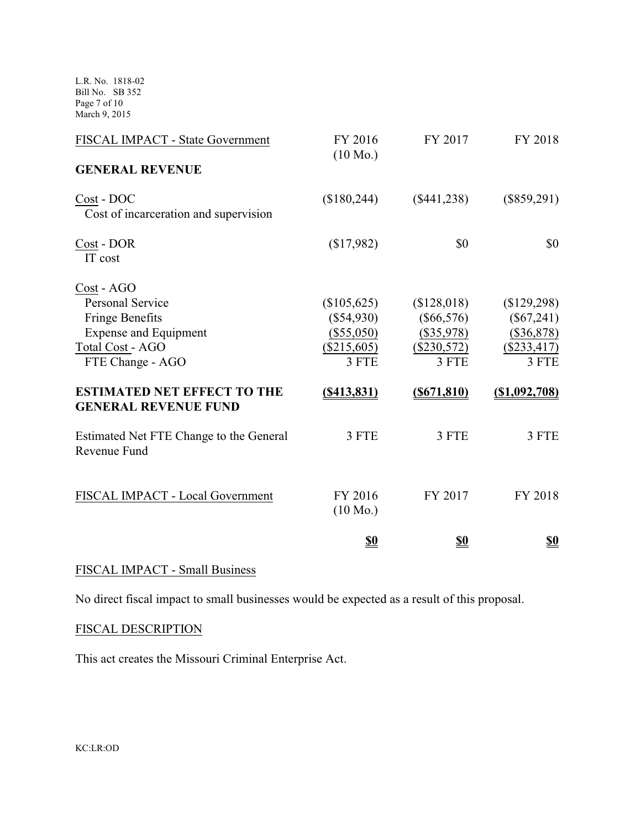L.R. No. 1818-02 Bill No. SB 352 Page 7 of 10 March 9, 2015

| FISCAL IMPACT - State Government                                                                                                                                                                             | FY 2016<br>$(10 \text{ Mo.})$                                                         | FY 2017                                                                                 | FY 2018                                                                                |
|--------------------------------------------------------------------------------------------------------------------------------------------------------------------------------------------------------------|---------------------------------------------------------------------------------------|-----------------------------------------------------------------------------------------|----------------------------------------------------------------------------------------|
| <b>GENERAL REVENUE</b>                                                                                                                                                                                       |                                                                                       |                                                                                         |                                                                                        |
| Cost - DOC<br>Cost of incarceration and supervision                                                                                                                                                          | (\$180,244)                                                                           | $(\$441,238)$                                                                           | $(\$859,291)$                                                                          |
| Cost - DOR<br>IT cost                                                                                                                                                                                        | (\$17,982)                                                                            | \$0                                                                                     | \$0                                                                                    |
| Cost - AGO<br><b>Personal Service</b><br><b>Fringe Benefits</b><br><b>Expense and Equipment</b><br>Total Cost - AGO<br>FTE Change - AGO<br><b>ESTIMATED NET EFFECT TO THE</b><br><b>GENERAL REVENUE FUND</b> | (\$105,625)<br>$(\$54,930)$<br>(\$55,050)<br>$(\$215,605)$<br>3 FTE<br>$($ \$413,831) | (\$128,018)<br>$(\$66,576)$<br>$(\$35,978)$<br>$(\$230,572)$<br>3 FTE<br>$($ \$671,810) | (\$129,298)<br>$(\$67,241)$<br>(\$36,878)<br>$(\$233,417)$<br>3 FTE<br>$(\$1,092,708)$ |
| Estimated Net FTE Change to the General<br>Revenue Fund                                                                                                                                                      | 3 FTE                                                                                 | 3 FTE                                                                                   | 3 FTE                                                                                  |
| FISCAL IMPACT - Local Government                                                                                                                                                                             | FY 2016<br>$(10 \text{ Mo.})$                                                         | FY 2017                                                                                 | FY 2018                                                                                |
|                                                                                                                                                                                                              | <u>\$0</u>                                                                            | <u>\$0</u>                                                                              | <u>\$0</u>                                                                             |

## FISCAL IMPACT - Small Business

No direct fiscal impact to small businesses would be expected as a result of this proposal.

## FISCAL DESCRIPTION

This act creates the Missouri Criminal Enterprise Act.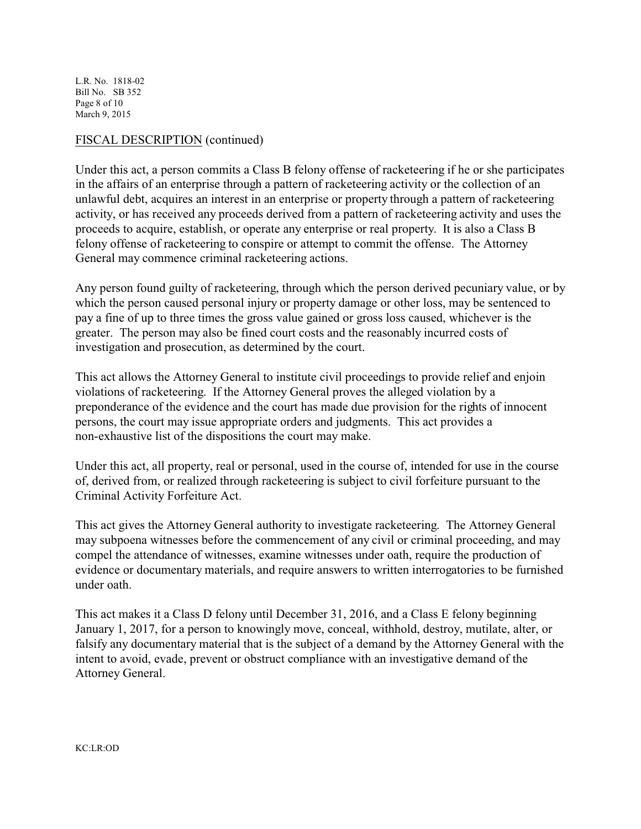L.R. No. 1818-02 Bill No. SB 352 Page 8 of 10 March 9, 2015

## FISCAL DESCRIPTION (continued)

Under this act, a person commits a Class B felony offense of racketeering if he or she participates in the affairs of an enterprise through a pattern of racketeering activity or the collection of an unlawful debt, acquires an interest in an enterprise or property through a pattern of racketeering activity, or has received any proceeds derived from a pattern of racketeering activity and uses the proceeds to acquire, establish, or operate any enterprise or real property. It is also a Class B felony offense of racketeering to conspire or attempt to commit the offense. The Attorney General may commence criminal racketeering actions.

Any person found guilty of racketeering, through which the person derived pecuniary value, or by which the person caused personal injury or property damage or other loss, may be sentenced to pay a fine of up to three times the gross value gained or gross loss caused, whichever is the greater. The person may also be fined court costs and the reasonably incurred costs of investigation and prosecution, as determined by the court.

This act allows the Attorney General to institute civil proceedings to provide relief and enjoin violations of racketeering. If the Attorney General proves the alleged violation by a preponderance of the evidence and the court has made due provision for the rights of innocent persons, the court may issue appropriate orders and judgments. This act provides a non-exhaustive list of the dispositions the court may make.

Under this act, all property, real or personal, used in the course of, intended for use in the course of, derived from, or realized through racketeering is subject to civil forfeiture pursuant to the Criminal Activity Forfeiture Act.

This act gives the Attorney General authority to investigate racketeering. The Attorney General may subpoena witnesses before the commencement of any civil or criminal proceeding, and may compel the attendance of witnesses, examine witnesses under oath, require the production of evidence or documentary materials, and require answers to written interrogatories to be furnished under oath.

This act makes it a Class D felony until December 31, 2016, and a Class E felony beginning January 1, 2017, for a person to knowingly move, conceal, withhold, destroy, mutilate, alter, or falsify any documentary material that is the subject of a demand by the Attorney General with the intent to avoid, evade, prevent or obstruct compliance with an investigative demand of the Attorney General.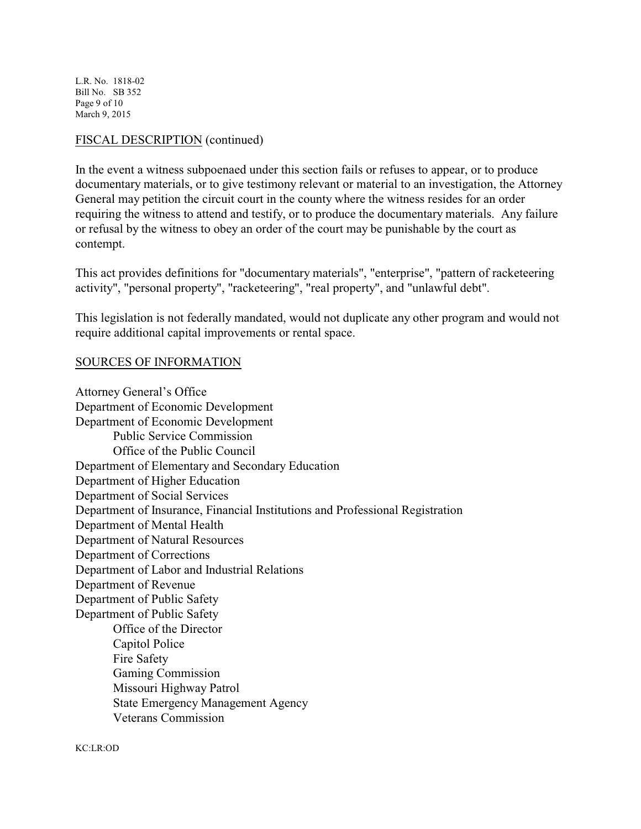L.R. No. 1818-02 Bill No. SB 352 Page 9 of 10 March 9, 2015

## FISCAL DESCRIPTION (continued)

In the event a witness subpoenaed under this section fails or refuses to appear, or to produce documentary materials, or to give testimony relevant or material to an investigation, the Attorney General may petition the circuit court in the county where the witness resides for an order requiring the witness to attend and testify, or to produce the documentary materials. Any failure or refusal by the witness to obey an order of the court may be punishable by the court as contempt.

This act provides definitions for "documentary materials", "enterprise", "pattern of racketeering activity", "personal property", "racketeering", "real property", and "unlawful debt".

This legislation is not federally mandated, would not duplicate any other program and would not require additional capital improvements or rental space.

### SOURCES OF INFORMATION

Attorney General's Office Department of Economic Development Department of Economic Development Public Service Commission Office of the Public Council Department of Elementary and Secondary Education Department of Higher Education Department of Social Services Department of Insurance, Financial Institutions and Professional Registration Department of Mental Health Department of Natural Resources Department of Corrections Department of Labor and Industrial Relations Department of Revenue Department of Public Safety Department of Public Safety Office of the Director Capitol Police Fire Safety Gaming Commission Missouri Highway Patrol State Emergency Management Agency Veterans Commission